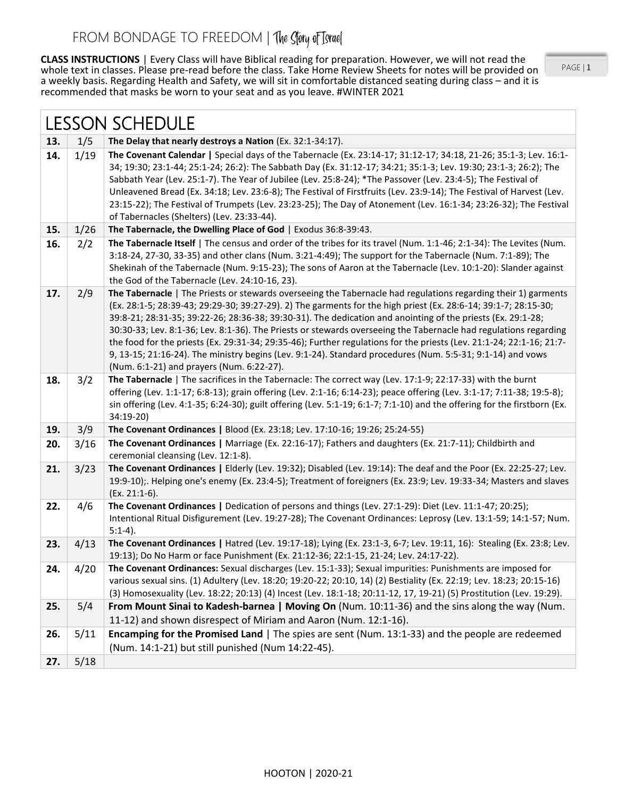**CLASS INSTRUCTIONS** | Every Class will have Biblical reading for preparation. However, we will not read the whole text in classes. Please pre-read before the class. Take Home Review Sheets for notes will be provided on a weekly basis. Regarding Health and Safety, we will sit in comfortable distanced seating during class – and it is recommended that masks be worn to your seat and as you leave. #WINTER 2021

PAGE | 1

| <b>LESSON SCHEDULE</b> |      |                                                                                                                                                                                                                                                                                                                                                                                                                                                                                                                                                                                                                                                                                                                                                         |
|------------------------|------|---------------------------------------------------------------------------------------------------------------------------------------------------------------------------------------------------------------------------------------------------------------------------------------------------------------------------------------------------------------------------------------------------------------------------------------------------------------------------------------------------------------------------------------------------------------------------------------------------------------------------------------------------------------------------------------------------------------------------------------------------------|
| 13.                    | 1/5  | The Delay that nearly destroys a Nation (Ex. 32:1-34:17).                                                                                                                                                                                                                                                                                                                                                                                                                                                                                                                                                                                                                                                                                               |
| 14.                    | 1/19 | The Covenant Calendar   Special days of the Tabernacle (Ex. 23:14-17; 31:12-17; 34:18, 21-26; 35:1-3; Lev. 16:1-<br>34; 19:30; 23:1-44; 25:1-24; 26:2): The Sabbath Day (Ex. 31:12-17; 34:21; 35:1-3; Lev. 19:30; 23:1-3; 26:2); The<br>Sabbath Year (Lev. 25:1-7). The Year of Jubilee (Lev. 25:8-24); *The Passover (Lev. 23:4-5); The Festival of<br>Unleavened Bread (Ex. 34:18; Lev. 23:6-8); The Festival of Firstfruits (Lev. 23:9-14); The Festival of Harvest (Lev.<br>23:15-22); The Festival of Trumpets (Lev. 23:23-25); The Day of Atonement (Lev. 16:1-34; 23:26-32); The Festival<br>of Tabernacles (Shelters) (Lev. 23:33-44).                                                                                                          |
| 15.                    | 1/26 | The Tabernacle, the Dwelling Place of God   Exodus 36:8-39:43.                                                                                                                                                                                                                                                                                                                                                                                                                                                                                                                                                                                                                                                                                          |
| 16.                    | 2/2  | The Tabernacle Itself   The census and order of the tribes for its travel (Num. 1:1-46; 2:1-34): The Levites (Num.<br>3:18-24, 27-30, 33-35) and other clans (Num. 3:21-4:49); The support for the Tabernacle (Num. 7:1-89); The<br>Shekinah of the Tabernacle (Num. 9:15-23); The sons of Aaron at the Tabernacle (Lev. 10:1-20): Slander against<br>the God of the Tabernacle (Lev. 24:10-16, 23).                                                                                                                                                                                                                                                                                                                                                    |
| 17.                    | 2/9  | The Tabernacle   The Priests or stewards overseeing the Tabernacle had regulations regarding their 1) garments<br>(Ex. 28:1-5; 28:39-43; 29:29-30; 39:27-29). 2) The garments for the high priest (Ex. 28:6-14; 39:1-7; 28:15-30;<br>39:8-21; 28:31-35; 39:22-26; 28:36-38; 39:30-31). The dedication and anointing of the priests (Ex. 29:1-28;<br>30:30-33; Lev. 8:1-36; Lev. 8:1-36). The Priests or stewards overseeing the Tabernacle had regulations regarding<br>the food for the priests (Ex. 29:31-34; 29:35-46); Further regulations for the priests (Lev. 21:1-24; 22:1-16; 21:7-<br>9, 13-15; 21:16-24). The ministry begins (Lev. 9:1-24). Standard procedures (Num. 5:5-31; 9:1-14) and vows<br>(Num. 6:1-21) and prayers (Num. 6:22-27). |
| 18.                    | 3/2  | The Tabernacle   The sacrifices in the Tabernacle: The correct way (Lev. 17:1-9; 22:17-33) with the burnt<br>offering (Lev. 1:1-17; 6:8-13); grain offering (Lev. 2:1-16; 6:14-23); peace offering (Lev. 3:1-17; 7:11-38; 19:5-8);<br>sin offering (Lev. 4:1-35; 6:24-30); guilt offering (Lev. 5:1-19; 6:1-7; 7:1-10) and the offering for the firstborn (Ex.<br>34:19-20)                                                                                                                                                                                                                                                                                                                                                                             |
| 19.                    | 3/9  | The Covenant Ordinances   Blood (Ex. 23:18; Lev. 17:10-16; 19:26; 25:24-55)                                                                                                                                                                                                                                                                                                                                                                                                                                                                                                                                                                                                                                                                             |
| 20.                    | 3/16 | The Covenant Ordinances   Marriage (Ex. 22:16-17); Fathers and daughters (Ex. 21:7-11); Childbirth and<br>ceremonial cleansing (Lev. 12:1-8).                                                                                                                                                                                                                                                                                                                                                                                                                                                                                                                                                                                                           |
| 21.                    | 3/23 | The Covenant Ordinances   Elderly (Lev. 19:32); Disabled (Lev. 19:14): The deaf and the Poor (Ex. 22:25-27; Lev.<br>19:9-10);. Helping one's enemy (Ex. 23:4-5); Treatment of foreigners (Ex. 23:9; Lev. 19:33-34; Masters and slaves<br>$(Ex. 21:1-6).$                                                                                                                                                                                                                                                                                                                                                                                                                                                                                                |
| 22.                    | 4/6  | The Covenant Ordinances   Dedication of persons and things (Lev. 27:1-29): Diet (Lev. 11:1-47; 20:25);<br>Intentional Ritual Disfigurement (Lev. 19:27-28); The Covenant Ordinances: Leprosy (Lev. 13:1-59; 14:1-57; Num.<br>$5:1-4$ ).                                                                                                                                                                                                                                                                                                                                                                                                                                                                                                                 |
| 23.                    | 4/13 | The Covenant Ordinances   Hatred (Lev. 19:17-18); Lying (Ex. 23:1-3, 6-7; Lev. 19:11, 16): Stealing (Ex. 23:8; Lev.<br>19:13); Do No Harm or face Punishment (Ex. 21:12-36; 22:1-15, 21-24; Lev. 24:17-22).                                                                                                                                                                                                                                                                                                                                                                                                                                                                                                                                             |
| 24.                    | 4/20 | The Covenant Ordinances: Sexual discharges (Lev. 15:1-33); Sexual impurities: Punishments are imposed for<br>various sexual sins. (1) Adultery (Lev. 18:20; 19:20-22; 20:10, 14) (2) Bestiality (Ex. 22:19; Lev. 18:23; 20:15-16)<br>(3) Homosexuality (Lev. 18:22; 20:13) (4) Incest (Lev. 18:1-18; 20:11-12, 17, 19-21) (5) Prostitution (Lev. 19:29).                                                                                                                                                                                                                                                                                                                                                                                                |
| 25.                    | 5/4  | From Mount Sinai to Kadesh-barnea   Moving On (Num. 10:11-36) and the sins along the way (Num.<br>11-12) and shown disrespect of Miriam and Aaron (Num. 12:1-16).                                                                                                                                                                                                                                                                                                                                                                                                                                                                                                                                                                                       |
| 26.                    | 5/11 | Encamping for the Promised Land   The spies are sent (Num. 13:1-33) and the people are redeemed<br>(Num. 14:1-21) but still punished (Num 14:22-45).                                                                                                                                                                                                                                                                                                                                                                                                                                                                                                                                                                                                    |
| 27.                    | 5/18 |                                                                                                                                                                                                                                                                                                                                                                                                                                                                                                                                                                                                                                                                                                                                                         |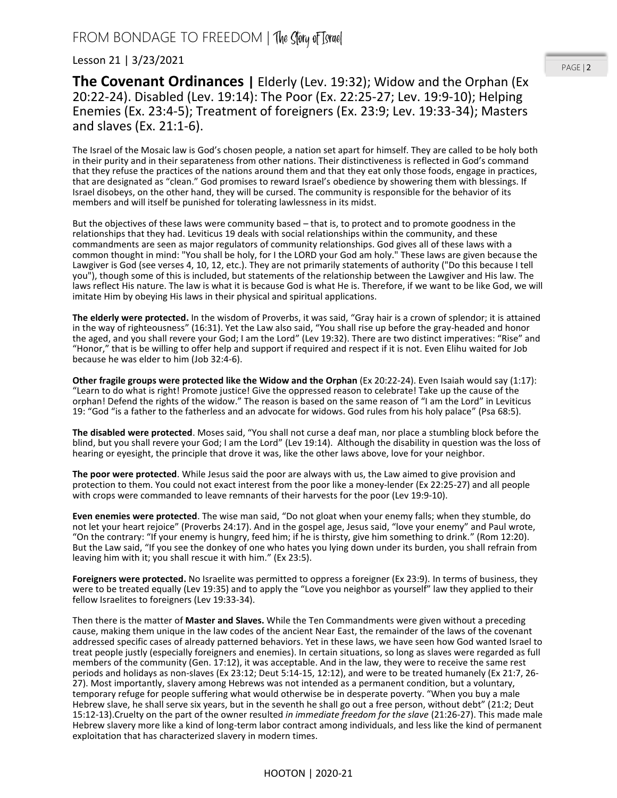Lesson 21 | 3/23/2021

**The Covenant Ordinances** | Elderly (Lev. 19:32); Widow and the Orphan (Ex 20:22-24). Disabled (Lev. 19:14): The Poor (Ex. 22:25-27; Lev. 19:9-10); Helping Enemies (Ex. 23:4-5); Treatment of foreigners (Ex. 23:9; Lev. 19:33-34); Masters and slaves (Ex. 21:1-6).

The Israel of the Mosaic law is God's chosen people, a nation set apart for himself. They are called to be holy both in their purity and in their separateness from other nations. Their distinctiveness is reflected in God's command that they refuse the practices of the nations around them and that they eat only those foods, engage in practices, that are designated as "clean." God promises to reward Israel's obedience by showering them with blessings. If Israel disobeys, on the other hand, they will be cursed. The community is responsible for the behavior of its members and will itself be punished for tolerating lawlessness in its midst.

But the objectives of these laws were community based – that is, to protect and to promote goodness in the relationships that they had. Leviticus 19 deals with social relationships within the community, and these commandments are seen as major regulators of community relationships. God gives all of these laws with a common thought in mind: "You shall be holy, for I the LORD your God am holy." These laws are given because the Lawgiver is God (see verses 4, 10, 12, etc.). They are not primarily statements of authority ("Do this because I tell you"), though some of this is included, but statements of the relationship between the Lawgiver and His law. The laws reflect His nature. The law is what it is because God is what He is. Therefore, if we want to be like God, we will imitate Him by obeying His laws in their physical and spiritual applications.

**The elderly were protected.** In the wisdom of Proverbs, it was said, "Gray hair is a crown of splendor; it is attained in the way of righteousness" (16:31). Yet the Law also said, "You shall rise up before the gray-headed and honor the aged, and you shall revere your God; I am the Lord" (Lev 19:32). There are two distinct imperatives: "Rise" and "Honor," that is be willing to offer help and support if required and respect if it is not. Even Elihu waited for Job because he was elder to him (Job 32:4-6).

**Other fragile groups were protected like the Widow and the Orphan** (Ex 20:22-24). Even Isaiah would say (1:17): "Learn to do what is right! Promote justice! Give the oppressed reason to celebrate! Take up the cause of the orphan! Defend the rights of the widow." The reason is based on the same reason of "I am the Lord" in Leviticus 19: "God "is a father to the fatherless and an advocate for widows. God rules from his holy palace" (Psa 68:5).

**The disabled were protected**. Moses said, "You shall not curse a deaf man, nor place a stumbling block before the blind, but you shall revere your God; I am the Lord" (Lev 19:14). Although the disability in question was the loss of hearing or eyesight, the principle that drove it was, like the other laws above, love for your neighbor.

**The poor were protected**. While Jesus said the poor are always with us, the Law aimed to give provision and protection to them. You could not exact interest from the poor like a money-lender (Ex 22:25-27) and all people with crops were commanded to leave remnants of their harvests for the poor (Lev 19:9-10).

**Even enemies were protected**. The wise man said, "Do not gloat when your enemy falls; when they stumble, do not let your heart rejoice" (Proverbs 24:17). And in the gospel age, Jesus said, "love your enemy" and Paul wrote, "On the contrary: "If your enemy is hungry, feed him; if he is thirsty, give him something to drink." (Rom 12:20). But the Law said, "If you see the donkey of one who hates you lying down under its burden, you shall refrain from leaving him with it; you shall rescue it with him." (Ex 23:5).

**Foreigners were protected.** No Israelite was permitted to oppress a foreigner (Ex 23:9). In terms of business, they were to be treated equally (Lev 19:35) and to apply the "Love you neighbor as yourself" law they applied to their fellow Israelites to foreigners (Lev 19:33-34).

Then there is the matter of **Master and Slaves.** While the Ten Commandments were given without a preceding cause, making them unique in the law codes of the ancient Near East, the remainder of the laws of the covenant addressed specific cases of already patterned behaviors. Yet in these laws, we have seen how God wanted Israel to treat people justly (especially foreigners and enemies). In certain situations, so long as slaves were regarded as full members of the community (Gen. 17:12), it was acceptable. And in the law, they were to receive the same rest periods and holidays as non-slaves (Ex 23:12; Deut 5:14-15, 12:12), and were to be treated humanely (Ex 21:7, 26- 27). Most importantly, slavery among Hebrews was not intended as a permanent condition, but a voluntary, temporary refuge for people suffering what would otherwise be in desperate poverty. "When you buy a male Hebrew slave, he shall serve six years, but in the seventh he shall go out a free person, without debt" (21:2; Deut 15:12-13).Cruelty on the part of the owner resulted *in immediate freedom for the slave* (21:26-27). This made male Hebrew slavery more like a kind of long-term labor contract among individuals, and less like the kind of permanent exploitation that has characterized slavery in modern times.